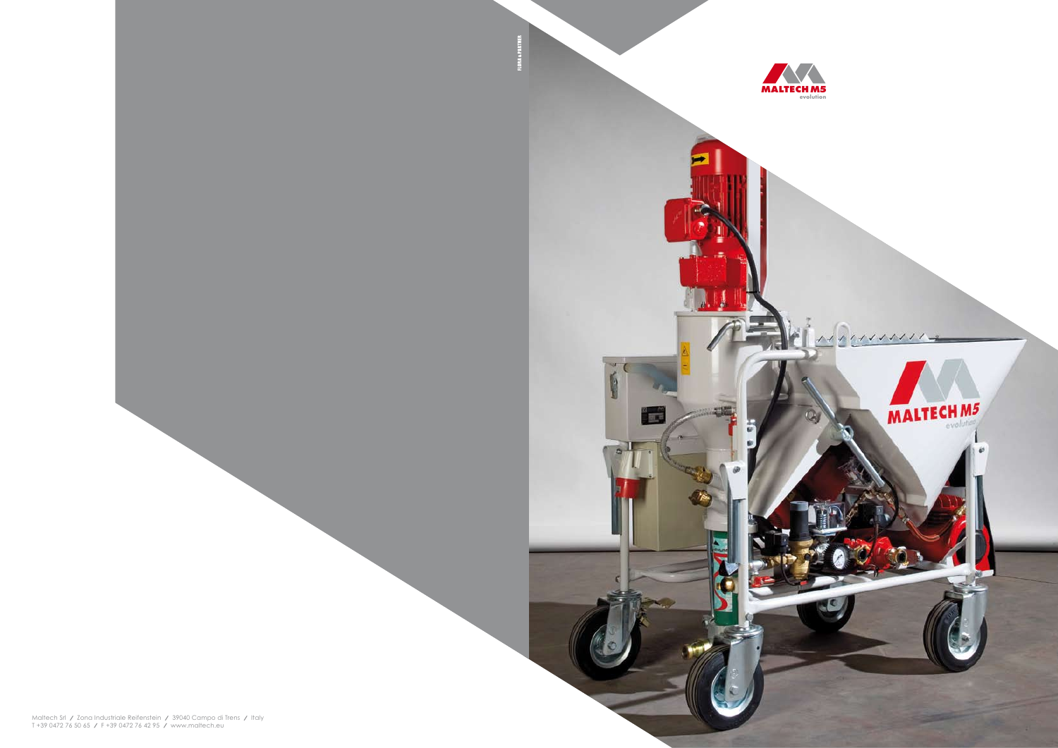